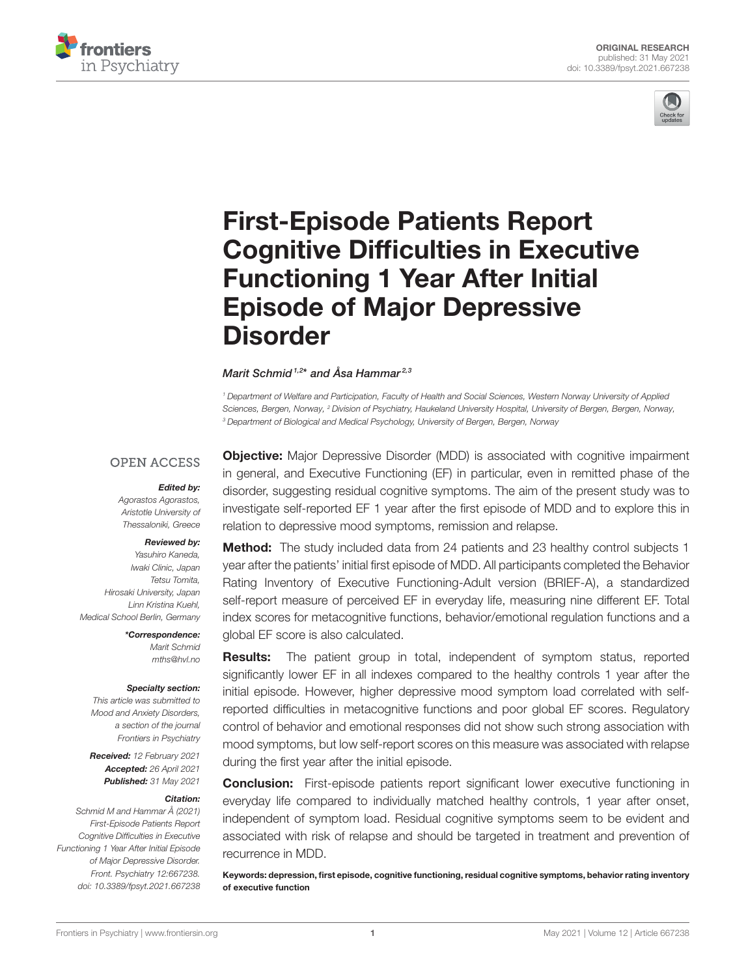



# First-Episode Patients Report [Cognitive Difficulties in Executive](https://www.frontiersin.org/articles/10.3389/fpsyt.2021.667238/full) Functioning 1 Year After Initial Episode of Major Depressive **Disorder**

#### Marit Schmid<sup>1,2\*</sup> and Åsa Hammar<sup>2,3</sup>

<sup>1</sup> Department of Welfare and Participation, Faculty of Health and Social Sciences, Western Norway University of Applied Sciences, Bergen, Norway, <sup>2</sup> Division of Psychiatry, Haukeland University Hospital, University of Bergen, Bergen, Norway, <sup>3</sup> Department of Biological and Medical Psychology, University of Bergen, Bergen, Norway

#### **OPEN ACCESS**

#### Edited by:

Agorastos Agorastos, Aristotle University of Thessaloniki, Greece

#### Reviewed by:

Yasuhiro Kaneda, Iwaki Clinic, Japan Tetsu Tomita, Hirosaki University, Japan Linn Kristina Kuehl, Medical School Berlin, Germany

> \*Correspondence: Marit Schmid [mths@hvl.no](mailto:mths@hvl.no)

#### Specialty section:

This article was submitted to Mood and Anxiety Disorders, a section of the journal Frontiers in Psychiatry

Received: 12 February 2021 Accepted: 26 April 2021 Published: 31 May 2021

#### Citation:

Schmid M and Hammar Å (2021) First-Episode Patients Report Cognitive Difficulties in Executive Functioning 1 Year After Initial Episode of Major Depressive Disorder. Front. Psychiatry 12:667238. doi: [10.3389/fpsyt.2021.667238](https://doi.org/10.3389/fpsyt.2021.667238)

**Objective:** Major Depressive Disorder (MDD) is associated with cognitive impairment in general, and Executive Functioning (EF) in particular, even in remitted phase of the disorder, suggesting residual cognitive symptoms. The aim of the present study was to investigate self-reported EF 1 year after the first episode of MDD and to explore this in relation to depressive mood symptoms, remission and relapse.

Method: The study included data from 24 patients and 23 healthy control subjects 1 year after the patients' initial first episode of MDD. All participants completed the Behavior Rating Inventory of Executive Functioning-Adult version (BRIEF-A), a standardized self-report measure of perceived EF in everyday life, measuring nine different EF. Total index scores for metacognitive functions, behavior/emotional regulation functions and a global EF score is also calculated.

**Results:** The patient group in total, independent of symptom status, reported significantly lower EF in all indexes compared to the healthy controls 1 year after the initial episode. However, higher depressive mood symptom load correlated with selfreported difficulties in metacognitive functions and poor global EF scores. Regulatory control of behavior and emotional responses did not show such strong association with mood symptoms, but low self-report scores on this measure was associated with relapse during the first year after the initial episode.

**Conclusion:** First-episode patients report significant lower executive functioning in everyday life compared to individually matched healthy controls, 1 year after onset, independent of symptom load. Residual cognitive symptoms seem to be evident and associated with risk of relapse and should be targeted in treatment and prevention of recurrence in MDD.

Keywords: depression, first episode, cognitive functioning, residual cognitive symptoms, behavior rating inventory of executive function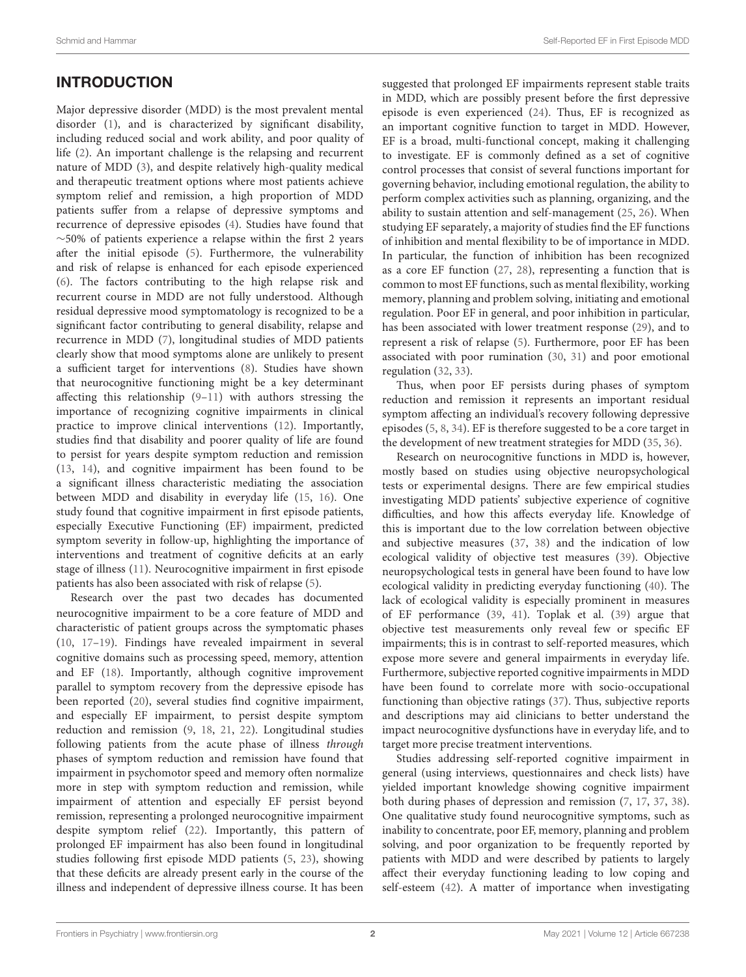# INTRODUCTION

Major depressive disorder (MDD) is the most prevalent mental disorder [\(1\)](#page-8-0), and is characterized by significant disability, including reduced social and work ability, and poor quality of life [\(2\)](#page-8-1). An important challenge is the relapsing and recurrent nature of MDD [\(3\)](#page-8-2), and despite relatively high-quality medical and therapeutic treatment options where most patients achieve symptom relief and remission, a high proportion of MDD patients suffer from a relapse of depressive symptoms and recurrence of depressive episodes [\(4\)](#page-8-3). Studies have found that ∼50% of patients experience a relapse within the first 2 years after the initial episode [\(5\)](#page-8-4). Furthermore, the vulnerability and risk of relapse is enhanced for each episode experienced [\(6\)](#page-8-5). The factors contributing to the high relapse risk and recurrent course in MDD are not fully understood. Although residual depressive mood symptomatology is recognized to be a significant factor contributing to general disability, relapse and recurrence in MDD [\(7\)](#page-8-6), longitudinal studies of MDD patients clearly show that mood symptoms alone are unlikely to present a sufficient target for interventions [\(8\)](#page-8-7). Studies have shown that neurocognitive functioning might be a key determinant affecting this relationship [\(9–](#page-8-8)[11\)](#page-8-9) with authors stressing the importance of recognizing cognitive impairments in clinical practice to improve clinical interventions [\(12\)](#page-8-10). Importantly, studies find that disability and poorer quality of life are found to persist for years despite symptom reduction and remission [\(13,](#page-8-11) [14\)](#page-8-12), and cognitive impairment has been found to be a significant illness characteristic mediating the association between MDD and disability in everyday life [\(15,](#page-8-13) [16\)](#page-8-14). One study found that cognitive impairment in first episode patients, especially Executive Functioning (EF) impairment, predicted symptom severity in follow-up, highlighting the importance of interventions and treatment of cognitive deficits at an early stage of illness [\(11\)](#page-8-9). Neurocognitive impairment in first episode patients has also been associated with risk of relapse [\(5\)](#page-8-4).

Research over the past two decades has documented neurocognitive impairment to be a core feature of MDD and characteristic of patient groups across the symptomatic phases [\(10,](#page-8-15) [17](#page-8-16)[–19\)](#page-8-17). Findings have revealed impairment in several cognitive domains such as processing speed, memory, attention and EF [\(18\)](#page-8-18). Importantly, although cognitive improvement parallel to symptom recovery from the depressive episode has been reported [\(20\)](#page-8-19), several studies find cognitive impairment, and especially EF impairment, to persist despite symptom reduction and remission [\(9,](#page-8-8) [18,](#page-8-18) [21,](#page-8-20) [22\)](#page-8-21). Longitudinal studies following patients from the acute phase of illness through phases of symptom reduction and remission have found that impairment in psychomotor speed and memory often normalize more in step with symptom reduction and remission, while impairment of attention and especially EF persist beyond remission, representing a prolonged neurocognitive impairment despite symptom relief [\(22\)](#page-8-21). Importantly, this pattern of prolonged EF impairment has also been found in longitudinal studies following first episode MDD patients [\(5,](#page-8-4) [23\)](#page-8-22), showing that these deficits are already present early in the course of the illness and independent of depressive illness course. It has been suggested that prolonged EF impairments represent stable traits in MDD, which are possibly present before the first depressive episode is even experienced [\(24\)](#page-8-23). Thus, EF is recognized as an important cognitive function to target in MDD. However, EF is a broad, multi-functional concept, making it challenging to investigate. EF is commonly defined as a set of cognitive control processes that consist of several functions important for governing behavior, including emotional regulation, the ability to perform complex activities such as planning, organizing, and the ability to sustain attention and self-management [\(25,](#page-8-24) [26\)](#page-8-25). When studying EF separately, a majority of studies find the EF functions of inhibition and mental flexibility to be of importance in MDD. In particular, the function of inhibition has been recognized as a core EF function [\(27,](#page-8-26) [28\)](#page-9-0), representing a function that is common to most EF functions, such as mental flexibility, working memory, planning and problem solving, initiating and emotional regulation. Poor EF in general, and poor inhibition in particular, has been associated with lower treatment response [\(29\)](#page-9-1), and to represent a risk of relapse [\(5\)](#page-8-4). Furthermore, poor EF has been associated with poor rumination [\(30,](#page-9-2) [31\)](#page-9-3) and poor emotional regulation [\(32,](#page-9-4) [33\)](#page-9-5).

Thus, when poor EF persists during phases of symptom reduction and remission it represents an important residual symptom affecting an individual's recovery following depressive episodes [\(5,](#page-8-4) [8,](#page-8-7) [34\)](#page-9-6). EF is therefore suggested to be a core target in the development of new treatment strategies for MDD [\(35,](#page-9-7) [36\)](#page-9-8).

Research on neurocognitive functions in MDD is, however, mostly based on studies using objective neuropsychological tests or experimental designs. There are few empirical studies investigating MDD patients' subjective experience of cognitive difficulties, and how this affects everyday life. Knowledge of this is important due to the low correlation between objective and subjective measures [\(37,](#page-9-9) [38\)](#page-9-10) and the indication of low ecological validity of objective test measures [\(39\)](#page-9-11). Objective neuropsychological tests in general have been found to have low ecological validity in predicting everyday functioning [\(40\)](#page-9-12). The lack of ecological validity is especially prominent in measures of EF performance [\(39,](#page-9-11) [41\)](#page-9-13). Toplak et al. [\(39\)](#page-9-11) argue that objective test measurements only reveal few or specific EF impairments; this is in contrast to self-reported measures, which expose more severe and general impairments in everyday life. Furthermore, subjective reported cognitive impairments in MDD have been found to correlate more with socio-occupational functioning than objective ratings [\(37\)](#page-9-9). Thus, subjective reports and descriptions may aid clinicians to better understand the impact neurocognitive dysfunctions have in everyday life, and to target more precise treatment interventions.

Studies addressing self-reported cognitive impairment in general (using interviews, questionnaires and check lists) have yielded important knowledge showing cognitive impairment both during phases of depression and remission [\(7,](#page-8-6) [17,](#page-8-16) [37,](#page-9-9) [38\)](#page-9-10). One qualitative study found neurocognitive symptoms, such as inability to concentrate, poor EF, memory, planning and problem solving, and poor organization to be frequently reported by patients with MDD and were described by patients to largely affect their everyday functioning leading to low coping and self-esteem [\(42\)](#page-9-14). A matter of importance when investigating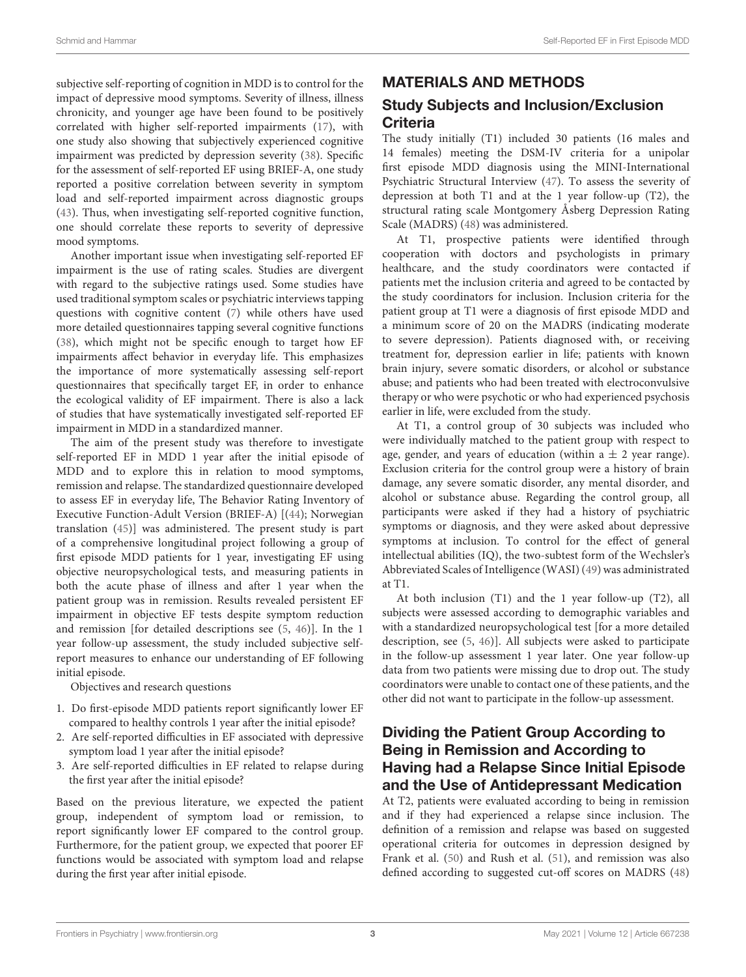subjective self-reporting of cognition in MDD is to control for the impact of depressive mood symptoms. Severity of illness, illness chronicity, and younger age have been found to be positively correlated with higher self-reported impairments [\(17\)](#page-8-16), with one study also showing that subjectively experienced cognitive impairment was predicted by depression severity [\(38\)](#page-9-10). Specific for the assessment of self-reported EF using BRIEF-A, one study reported a positive correlation between severity in symptom load and self-reported impairment across diagnostic groups [\(43\)](#page-9-15). Thus, when investigating self-reported cognitive function, one should correlate these reports to severity of depressive mood symptoms.

Another important issue when investigating self-reported EF impairment is the use of rating scales. Studies are divergent with regard to the subjective ratings used. Some studies have used traditional symptom scales or psychiatric interviews tapping questions with cognitive content [\(7\)](#page-8-6) while others have used more detailed questionnaires tapping several cognitive functions [\(38\)](#page-9-10), which might not be specific enough to target how EF impairments affect behavior in everyday life. This emphasizes the importance of more systematically assessing self-report questionnaires that specifically target EF, in order to enhance the ecological validity of EF impairment. There is also a lack of studies that have systematically investigated self-reported EF impairment in MDD in a standardized manner.

The aim of the present study was therefore to investigate self-reported EF in MDD 1 year after the initial episode of MDD and to explore this in relation to mood symptoms, remission and relapse. The standardized questionnaire developed to assess EF in everyday life, The Behavior Rating Inventory of Executive Function-Adult Version (BRIEF-A) [[\(44\)](#page-9-16); Norwegian translation [\(45\)](#page-9-17)] was administered. The present study is part of a comprehensive longitudinal project following a group of first episode MDD patients for 1 year, investigating EF using objective neuropsychological tests, and measuring patients in both the acute phase of illness and after 1 year when the patient group was in remission. Results revealed persistent EF impairment in objective EF tests despite symptom reduction and remission [for detailed descriptions see [\(5,](#page-8-4) [46\)](#page-9-18)]. In the 1 year follow-up assessment, the study included subjective selfreport measures to enhance our understanding of EF following initial episode.

Objectives and research questions

- 1. Do first-episode MDD patients report significantly lower EF compared to healthy controls 1 year after the initial episode?
- 2. Are self-reported difficulties in EF associated with depressive symptom load 1 year after the initial episode?
- 3. Are self-reported difficulties in EF related to relapse during the first year after the initial episode?

Based on the previous literature, we expected the patient group, independent of symptom load or remission, to report significantly lower EF compared to the control group. Furthermore, for the patient group, we expected that poorer EF functions would be associated with symptom load and relapse during the first year after initial episode.

#### MATERIALS AND METHODS

#### Study Subjects and Inclusion/Exclusion **Criteria**

The study initially (T1) included 30 patients (16 males and 14 females) meeting the DSM-IV criteria for a unipolar first episode MDD diagnosis using the MINI-International Psychiatric Structural Interview [\(47\)](#page-9-19). To assess the severity of depression at both T1 and at the 1 year follow-up (T2), the structural rating scale Montgomery Åsberg Depression Rating Scale (MADRS) [\(48\)](#page-9-20) was administered.

At T1, prospective patients were identified through cooperation with doctors and psychologists in primary healthcare, and the study coordinators were contacted if patients met the inclusion criteria and agreed to be contacted by the study coordinators for inclusion. Inclusion criteria for the patient group at T1 were a diagnosis of first episode MDD and a minimum score of 20 on the MADRS (indicating moderate to severe depression). Patients diagnosed with, or receiving treatment for, depression earlier in life; patients with known brain injury, severe somatic disorders, or alcohol or substance abuse; and patients who had been treated with electroconvulsive therapy or who were psychotic or who had experienced psychosis earlier in life, were excluded from the study.

At T1, a control group of 30 subjects was included who were individually matched to the patient group with respect to age, gender, and years of education (within a  $\pm$  2 year range). Exclusion criteria for the control group were a history of brain damage, any severe somatic disorder, any mental disorder, and alcohol or substance abuse. Regarding the control group, all participants were asked if they had a history of psychiatric symptoms or diagnosis, and they were asked about depressive symptoms at inclusion. To control for the effect of general intellectual abilities (IQ), the two-subtest form of the Wechsler's Abbreviated Scales of Intelligence (WASI) [\(49\)](#page-9-21) was administrated at T1.

At both inclusion (T1) and the 1 year follow-up (T2), all subjects were assessed according to demographic variables and with a standardized neuropsychological test [for a more detailed description, see [\(5,](#page-8-4) [46\)](#page-9-18)]. All subjects were asked to participate in the follow-up assessment 1 year later. One year follow-up data from two patients were missing due to drop out. The study coordinators were unable to contact one of these patients, and the other did not want to participate in the follow-up assessment.

#### Dividing the Patient Group According to Being in Remission and According to Having had a Relapse Since Initial Episode and the Use of Antidepressant Medication

At T2, patients were evaluated according to being in remission and if they had experienced a relapse since inclusion. The definition of a remission and relapse was based on suggested operational criteria for outcomes in depression designed by Frank et al. [\(50\)](#page-9-22) and Rush et al. [\(51\)](#page-9-23), and remission was also defined according to suggested cut-off scores on MADRS [\(48\)](#page-9-20)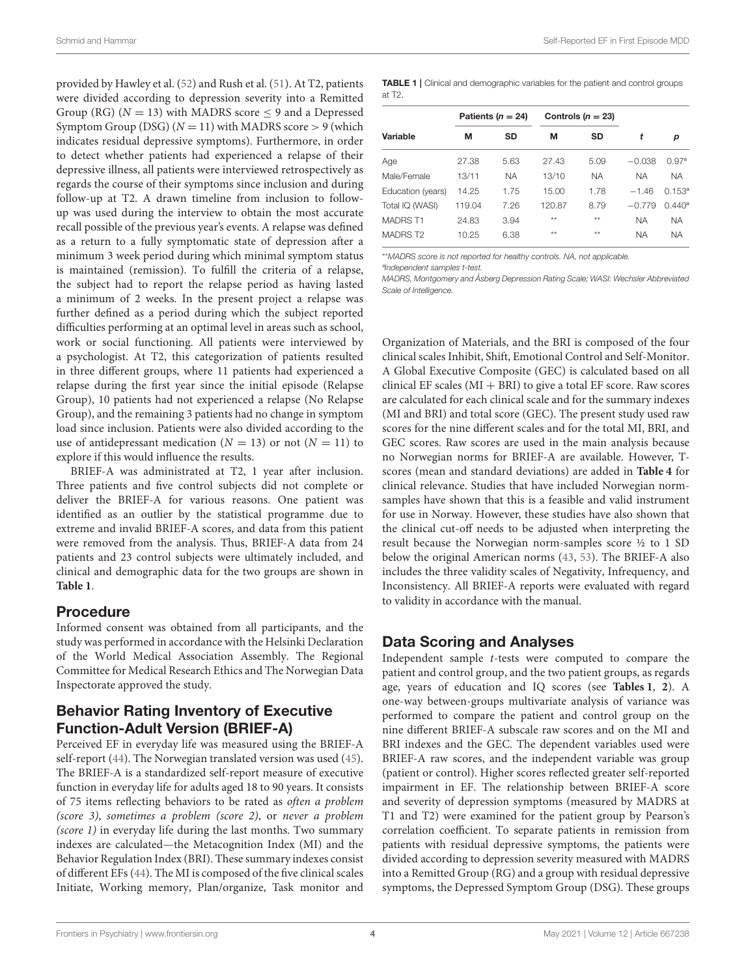provided by Hawley et al. [\(52\)](#page-9-24) and Rush et al. [\(51\)](#page-9-23). At T2, patients were divided according to depression severity into a Remitted Group (RG) ( $N = 13$ ) with MADRS score < 9 and a Depressed Symptom Group (DSG)  $(N = 11)$  with MADRS score  $> 9$  (which indicates residual depressive symptoms). Furthermore, in order to detect whether patients had experienced a relapse of their depressive illness, all patients were interviewed retrospectively as regards the course of their symptoms since inclusion and during follow-up at T2. A drawn timeline from inclusion to followup was used during the interview to obtain the most accurate recall possible of the previous year's events. A relapse was defined as a return to a fully symptomatic state of depression after a minimum 3 week period during which minimal symptom status is maintained (remission). To fulfill the criteria of a relapse, the subject had to report the relapse period as having lasted a minimum of 2 weeks. In the present project a relapse was further defined as a period during which the subject reported difficulties performing at an optimal level in areas such as school, work or social functioning. All patients were interviewed by a psychologist. At T2, this categorization of patients resulted in three different groups, where 11 patients had experienced a relapse during the first year since the initial episode (Relapse Group), 10 patients had not experienced a relapse (No Relapse Group), and the remaining 3 patients had no change in symptom load since inclusion. Patients were also divided according to the use of antidepressant medication  $(N = 13)$  or not  $(N = 11)$  to explore if this would influence the results.

BRIEF-A was administrated at T2, 1 year after inclusion. Three patients and five control subjects did not complete or deliver the BRIEF-A for various reasons. One patient was identified as an outlier by the statistical programme due to extreme and invalid BRIEF-A scores, and data from this patient were removed from the analysis. Thus, BRIEF-A data from 24 patients and 23 control subjects were ultimately included, and clinical and demographic data for the two groups are shown in **[Table 1](#page-3-0)**.

#### Procedure

Informed consent was obtained from all participants, and the study was performed in accordance with the Helsinki Declaration of the World Medical Association Assembly. The Regional Committee for Medical Research Ethics and The Norwegian Data Inspectorate approved the study.

# Behavior Rating Inventory of Executive Function-Adult Version (BRIEF-A)

Perceived EF in everyday life was measured using the BRIEF-A self-report [\(44\)](#page-9-16). The Norwegian translated version was used [\(45\)](#page-9-17). The BRIEF-A is a standardized self-report measure of executive function in everyday life for adults aged 18 to 90 years. It consists of 75 items reflecting behaviors to be rated as often a problem (score 3), sometimes a problem (score 2), or never a problem (score 1) in everyday life during the last months. Two summary indexes are calculated—the Metacognition Index (MI) and the Behavior Regulation Index (BRI). These summary indexes consist of different EFs [\(44\)](#page-9-16). The MI is composed of the five clinical scales Initiate, Working memory, Plan/organize, Task monitor and

<span id="page-3-0"></span>TABLE 1 | Clinical and demographic variables for the patient and control groups at T2.

|                      | Patients ( $n = 24$ ) |           |        | Controls ( $n = 23$ ) |           |                   |
|----------------------|-----------------------|-----------|--------|-----------------------|-----------|-------------------|
| Variable             | М                     | <b>SD</b> | м      | <b>SD</b>             | t         | р                 |
| Age                  | 27.38                 | 5.63      | 27.43  | 5.09                  | $-0.038$  | 0.97 <sup>a</sup> |
| Male/Female          | 13/11                 | <b>NA</b> | 13/10  | <b>NA</b>             | <b>NA</b> | <b>NA</b>         |
| Education (years)    | 14.25                 | 1.75      | 15.00  | 1.78                  | $-1.46$   | $0.153^a$         |
| Total IQ (WASI)      | 119.04                | 7.26      | 120.87 | 8.79                  | $-0.779$  | $0.440^a$         |
| <b>MADRS T1</b>      | 24.83                 | 3.94      | **     | **                    | <b>NA</b> | <b>NA</b>         |
| MADRS T <sub>2</sub> | 10.25                 | 6.38      | **     | **                    | <b>NA</b> | <b>NA</b>         |

\*\*MADRS score is not reported for healthy controls. NA, not applicable.

ªIndependent samples t-test.

MADRS, Montgomery and Åsberg Depression Rating Scale; WASI: Wechsler Abbreviated Scale of Intelligence.

Organization of Materials, and the BRI is composed of the four clinical scales Inhibit, Shift, Emotional Control and Self-Monitor. A Global Executive Composite (GEC) is calculated based on all clinical EF scales  $(MI + BRI)$  to give a total EF score. Raw scores are calculated for each clinical scale and for the summary indexes (MI and BRI) and total score (GEC). The present study used raw scores for the nine different scales and for the total MI, BRI, and GEC scores. Raw scores are used in the main analysis because no Norwegian norms for BRIEF-A are available. However, Tscores (mean and standard deviations) are added in **[Table 4](#page-6-0)** for clinical relevance. Studies that have included Norwegian normsamples have shown that this is a feasible and valid instrument for use in Norway. However, these studies have also shown that the clinical cut-off needs to be adjusted when interpreting the result because the Norwegian norm-samples score ½ to 1 SD below the original American norms [\(43,](#page-9-15) [53\)](#page-9-25). The BRIEF-A also includes the three validity scales of Negativity, Infrequency, and Inconsistency. All BRIEF-A reports were evaluated with regard to validity in accordance with the manual.

# Data Scoring and Analyses

Independent sample t-tests were computed to compare the patient and control group, and the two patient groups, as regards age, years of education and IQ scores (see **[Tables 1](#page-3-0)**, **[2](#page-4-0)**). A one-way between-groups multivariate analysis of variance was performed to compare the patient and control group on the nine different BRIEF-A subscale raw scores and on the MI and BRI indexes and the GEC. The dependent variables used were BRIEF-A raw scores, and the independent variable was group (patient or control). Higher scores reflected greater self-reported impairment in EF. The relationship between BRIEF-A score and severity of depression symptoms (measured by MADRS at T1 and T2) were examined for the patient group by Pearson's correlation coefficient. To separate patients in remission from patients with residual depressive symptoms, the patients were divided according to depression severity measured with MADRS into a Remitted Group (RG) and a group with residual depressive symptoms, the Depressed Symptom Group (DSG). These groups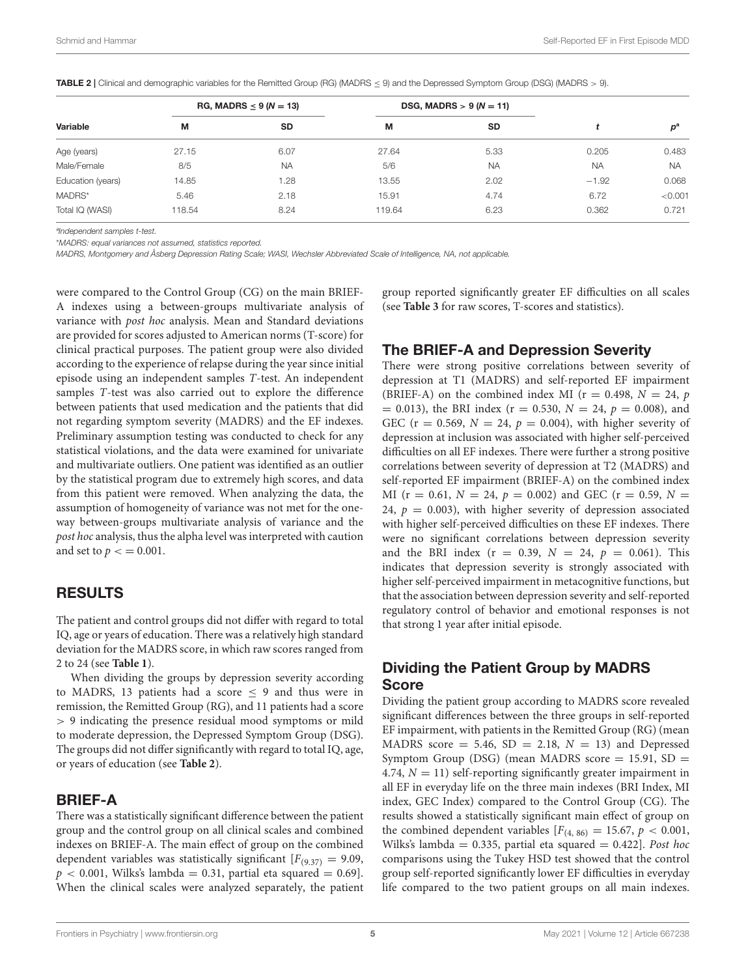| Variable          | RG, MADRS $\leq 9$ (N = 13) |           |        | DSG, MADRS $> 9 (N = 11)$ |           |             |
|-------------------|-----------------------------|-----------|--------|---------------------------|-----------|-------------|
|                   | М                           | <b>SD</b> | М      | SD                        |           | $p^{\rm a}$ |
| Age (years)       | 27.15                       | 6.07      | 27.64  | 5.33                      | 0.205     | 0.483       |
| Male/Female       | 8/5                         | <b>NA</b> | 5/6    | <b>NA</b>                 | <b>NA</b> | <b>NA</b>   |
| Education (years) | 14.85                       | .28       | 13.55  | 2.02                      | $-1.92$   | 0.068       |
| MADRS*            | 5.46                        | 2.18      | 15.91  | 4.74                      | 6.72      | < 0.001     |
| Total IQ (WASI)   | 118.54                      | 8.24      | 119.64 | 6.23                      | 0.362     | 0.721       |

<span id="page-4-0"></span>TABLE 2 | Clinical and demographic variables for the Remitted Group (RG) (MADRS ≤ 9) and the Depressed Symptom Group (DSG) (MADRS > 9).

ªIndependent samples t-test.

\*MADRS: equal variances not assumed, statistics reported.

MADRS, Montgomery and Åsberg Depression Rating Scale; WASI, Wechsler Abbreviated Scale of Intelligence, NA, not applicable.

were compared to the Control Group (CG) on the main BRIEF-A indexes using a between-groups multivariate analysis of variance with post hoc analysis. Mean and Standard deviations are provided for scores adjusted to American norms (T-score) for clinical practical purposes. The patient group were also divided according to the experience of relapse during the year since initial episode using an independent samples T-test. An independent samples T-test was also carried out to explore the difference between patients that used medication and the patients that did not regarding symptom severity (MADRS) and the EF indexes. Preliminary assumption testing was conducted to check for any statistical violations, and the data were examined for univariate and multivariate outliers. One patient was identified as an outlier by the statistical program due to extremely high scores, and data from this patient were removed. When analyzing the data, the assumption of homogeneity of variance was not met for the oneway between-groups multivariate analysis of variance and the post hoc analysis, thus the alpha level was interpreted with caution and set to  $p <$  = 0.001.

## RESULTS

The patient and control groups did not differ with regard to total IQ, age or years of education. There was a relatively high standard deviation for the MADRS score, in which raw scores ranged from 2 to 24 (see **[Table 1](#page-3-0)**).

When dividing the groups by depression severity according to MADRS, 13 patients had a score  $\leq$  9 and thus were in remission, the Remitted Group (RG), and 11 patients had a score > 9 indicating the presence residual mood symptoms or mild to moderate depression, the Depressed Symptom Group (DSG). The groups did not differ significantly with regard to total IQ, age, or years of education (see **[Table 2](#page-4-0)**).

#### BRIEF-A

There was a statistically significant difference between the patient group and the control group on all clinical scales and combined indexes on BRIEF-A. The main effect of group on the combined dependent variables was statistically significant  $[F(9,37) = 9.09$ ,  $p < 0.001$ , Wilks's lambda = 0.31, partial eta squared = 0.69]. When the clinical scales were analyzed separately, the patient group reported significantly greater EF difficulties on all scales (see **[Table 3](#page-5-0)** for raw scores, T-scores and statistics).

#### The BRIEF-A and Depression Severity

There were strong positive correlations between severity of depression at T1 (MADRS) and self-reported EF impairment (BRIEF-A) on the combined index MI ( $r = 0.498$ ,  $N = 24$ , p  $= 0.013$ ), the BRI index (r = 0.530, N = 24, p = 0.008), and GEC ( $r = 0.569$ ,  $N = 24$ ,  $p = 0.004$ ), with higher severity of depression at inclusion was associated with higher self-perceived difficulties on all EF indexes. There were further a strong positive correlations between severity of depression at T2 (MADRS) and self-reported EF impairment (BRIEF-A) on the combined index MI ( $r = 0.61$ ,  $N = 24$ ,  $p = 0.002$ ) and GEC ( $r = 0.59$ ,  $N =$ 24,  $p = 0.003$ ), with higher severity of depression associated with higher self-perceived difficulties on these EF indexes. There were no significant correlations between depression severity and the BRI index ( $r = 0.39$ ,  $N = 24$ ,  $p = 0.061$ ). This indicates that depression severity is strongly associated with higher self-perceived impairment in metacognitive functions, but that the association between depression severity and self-reported regulatory control of behavior and emotional responses is not that strong 1 year after initial episode.

## Dividing the Patient Group by MADRS Score

Dividing the patient group according to MADRS score revealed significant differences between the three groups in self-reported EF impairment, with patients in the Remitted Group (RG) (mean MADRS score = 5.46,  $SD = 2.18$ ,  $N = 13$ ) and Depressed Symptom Group (DSG) (mean MADRS score  $= 15.91$ , SD  $=$ 4.74,  $N = 11$ ) self-reporting significantly greater impairment in all EF in everyday life on the three main indexes (BRI Index, MI index, GEC Index) compared to the Control Group (CG). The results showed a statistically significant main effect of group on the combined dependent variables  $[F_{(4, 86)} = 15.67, p < 0.001,$ Wilks's lambda = 0.335, partial eta squared = 0.422]. Post hoc comparisons using the Tukey HSD test showed that the control group self-reported significantly lower EF difficulties in everyday life compared to the two patient groups on all main indexes.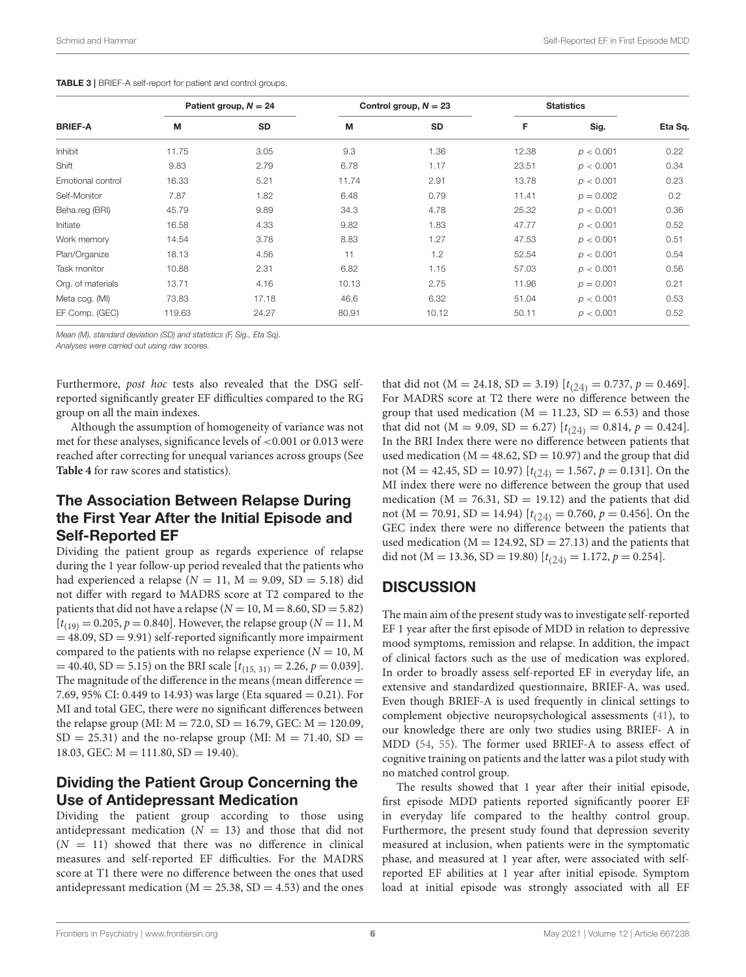<span id="page-5-0"></span>

| <b>BRIEF-A</b>    | Patient group, $N = 24$ |       |       | Control group, $N = 23$ | <b>Statistics</b> |             |         |
|-------------------|-------------------------|-------|-------|-------------------------|-------------------|-------------|---------|
|                   | M                       | SD    | M     | <b>SD</b>               | F                 | Sig.        | Eta Sq. |
| Inhibit           | 11.75                   | 3.05  | 9.3   | 1.36                    | 12.38             | p < 0.001   | 0.22    |
| Shift             | 9.83                    | 2.79  | 6.78  | 1.17                    | 23.51             | p < 0.001   | 0.34    |
| Emotional control | 16.33                   | 5.21  | 11.74 | 2.91                    | 13.78             | p < 0.001   | 0.23    |
| Self-Monitor      | 7.87                    | 1.82  | 6.48  | 0.79                    | 11.41             | $p = 0.002$ | 0.2     |
| Beha.reg (BRI)    | 45.79                   | 9.89  | 34.3  | 4.78                    | 25.32             | p < 0.001   | 0.36    |
| Initiate          | 16.58                   | 4.33  | 9.82  | 1.83                    | 47.77             | p < 0.001   | 0.52    |
| Work memory       | 14.54                   | 3.78  | 8.83  | 1.27                    | 47.53             | p < 0.001   | 0.51    |
| Plan/Organize     | 18.13                   | 4.56  | 11    | 1.2                     | 52.54             | p < 0.001   | 0.54    |
| Task monitor      | 10.88                   | 2.31  | 6.82  | 1.15                    | 57.03             | p < 0.001   | 0.56    |
| Org. of materials | 13.71                   | 4.16  | 10.13 | 2.75                    | 11.96             | $p = 0.001$ | 0.21    |
| Meta cog. (MI)    | 73.83                   | 17.18 | 46.6  | 6.32                    | 51.04             | p < 0.001   | 0.53    |
| EF Comp. (GEC)    | 119.63                  | 24.27 | 80.91 | 10.12                   | 50.11             | p < 0.001   | 0.52    |

Mean (M), standard deviation (SD) and statistics (F, Sig., Eta Sq).

Analyses were carried out using raw scores.

Furthermore, post hoc tests also revealed that the DSG selfreported significantly greater EF difficulties compared to the RG group on all the main indexes.

Although the assumption of homogeneity of variance was not met for these analyses, significance levels of <0.001 or 0.013 were reached after correcting for unequal variances across groups (See **[Table 4](#page-6-0)** for raw scores and statistics).

## The Association Between Relapse During the First Year After the Initial Episode and Self-Reported EF

Dividing the patient group as regards experience of relapse during the 1 year follow-up period revealed that the patients who had experienced a relapse ( $N = 11$ ,  $M = 9.09$ ,  $SD = 5.18$ ) did not differ with regard to MADRS score at T2 compared to the patients that did not have a relapse  $(N = 10, M = 8.60, SD = 5.82)$  $[t_{(19)} = 0.205, p = 0.840]$ . However, the relapse group ( $N = 11$ , M  $= 48.09$ , SD  $= 9.91$ ) self-reported significantly more impairment compared to the patients with no relapse experience ( $N = 10$ , M  $= 40.40$ , SD  $= 5.15$ ) on the BRI scale  $[t<sub>(15, 31)</sub> = 2.26, p = 0.039]$ . The magnitude of the difference in the means (mean difference  $=$ 7.69, 95% CI: 0.449 to 14.93) was large (Eta squared = 0.21). For MI and total GEC, there were no significant differences between the relapse group (MI:  $M = 72.0$ , SD = 16.79, GEC:  $M = 120.09$ ,  $SD = 25.31$ ) and the no-relapse group (MI:  $M = 71.40$ , SD = 18.03, GEC:  $M = 111.80$ , SD = 19.40).

## Dividing the Patient Group Concerning the Use of Antidepressant Medication

Dividing the patient group according to those using antidepressant medication  $(N = 13)$  and those that did not  $(N = 11)$  showed that there was no difference in clinical measures and self-reported EF difficulties. For the MADRS score at T1 there were no difference between the ones that used antidepressant medication ( $M = 25.38$ ,  $SD = 4.53$ ) and the ones

that did not (M = [24](#page-8-23).18, SD = 3.19)  $[t<sub>(24)</sub> = 0.737, p = 0.469]$ . For MADRS score at T2 there were no difference between the group that used medication ( $M = 11.23$ ,  $SD = 6.53$ ) and those that did not ( $M = 9.09$ ,  $SD = 6.27$ ) [ $t<sub>(24)</sub> = 0.814$  $t<sub>(24)</sub> = 0.814$  $t<sub>(24)</sub> = 0.814$ ,  $p = 0.424$ ]. In the BRI Index there were no difference between patients that used medication ( $M = 48.62$ ,  $SD = 10.97$ ) and the group that did not (M = 42.45, SD = 10.97) [ $t_{(24)} = 1.567$  $t_{(24)} = 1.567$  $t_{(24)} = 1.567$ ,  $p = 0.131$ ]. On the MI index there were no difference between the group that used medication ( $M = 76.31$ ,  $SD = 19.12$ ) and the patients that did not (M = 70.91, SD = 14.94) [ $t_{(24)} = 0.760$  $t_{(24)} = 0.760$  $t_{(24)} = 0.760$ ,  $p = 0.456$ ]. On the GEC index there were no difference between the patients that used medication ( $M = 124.92$ ,  $SD = 27.13$ ) and the patients that did not (M = 13.36, SD = 19.80)  $[t_{(24)} = 1.172, p = 0.254]$  $[t_{(24)} = 1.172, p = 0.254]$  $[t_{(24)} = 1.172, p = 0.254]$ .

## **DISCUSSION**

The main aim of the present study was to investigate self-reported EF 1 year after the first episode of MDD in relation to depressive mood symptoms, remission and relapse. In addition, the impact of clinical factors such as the use of medication was explored. In order to broadly assess self-reported EF in everyday life, an extensive and standardized questionnaire, BRIEF-A, was used. Even though BRIEF-A is used frequently in clinical settings to complement objective neuropsychological assessments [\(41\)](#page-9-13), to our knowledge there are only two studies using BRIEF- A in MDD [\(54,](#page-9-26) [55\)](#page-9-27). The former used BRIEF-A to assess effect of cognitive training on patients and the latter was a pilot study with no matched control group.

The results showed that 1 year after their initial episode, first episode MDD patients reported significantly poorer EF in everyday life compared to the healthy control group. Furthermore, the present study found that depression severity measured at inclusion, when patients were in the symptomatic phase, and measured at 1 year after, were associated with selfreported EF abilities at 1 year after initial episode. Symptom load at initial episode was strongly associated with all EF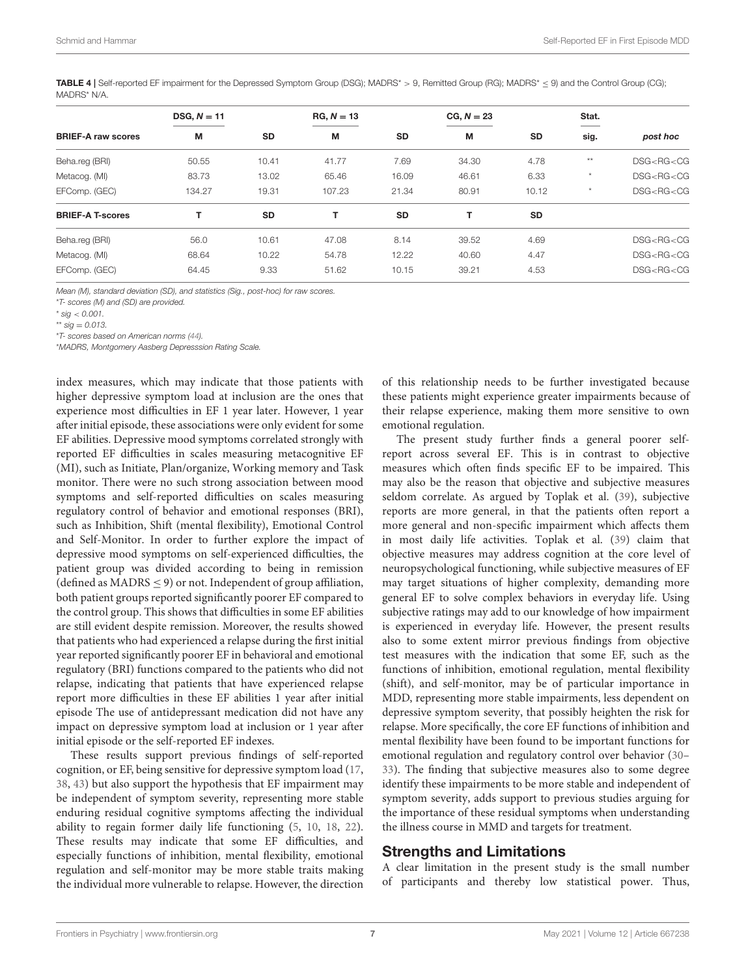<span id="page-6-0"></span>TABLE 4 | Self-reported EF impairment for the Depressed Symptom Group (DSG); MADRS\* > 9, Remitted Group (RG); MADRS\* ≤ 9) and the Control Group (CG); MADRS\* N/A.

|                           | DSG, $N = 11$ |           | $RG, N = 13$ |           | $CG, N = 23$ |           | Stat. |               |
|---------------------------|---------------|-----------|--------------|-----------|--------------|-----------|-------|---------------|
| <b>BRIEF-A raw scores</b> | M             | <b>SD</b> | М            | <b>SD</b> | M            | <b>SD</b> | sig.  | post hoc      |
| Beha.reg (BRI)            | 50.55         | 10.41     | 41.77        | 7.69      | 34.30        | 4.78      | $**$  | DSG < BG < CG |
| Metacog. (MI)             | 83.73         | 13.02     | 65.46        | 16.09     | 46.61        | 6.33      |       | DSG < RG < CG |
| EFComp. (GEC)             | 134.27        | 19.31     | 107.23       | 21.34     | 80.91        | 10.12     |       | DSG < BG < CG |
| <b>BRIEF-A T-scores</b>   |               | <b>SD</b> | т            | <b>SD</b> | т            | <b>SD</b> |       |               |
| Beha.reg (BRI)            | 56.0          | 10.61     | 47.08        | 8.14      | 39.52        | 4.69      |       | DSG < RG < CG |
| Metacog. (MI)             | 68.64         | 10.22     | 54.78        | 12.22     | 40.60        | 4.47      |       | DSG < BG < CG |
| EFComp. (GEC)             | 64.45         | 9.33      | 51.62        | 10.15     | 39.21        | 4.53      |       | DSG < RG < CG |
|                           |               |           |              |           |              |           |       |               |

Mean (M), standard deviation (SD), and statistics (Sig., post-hoc) for raw scores.

\*T- scores (M) and (SD) are provided.

 $*$  sig  $< 0.001$ .

\*\*  $sig = 0.013$ .

\*T- scores based on American norms [\(44\)](#page-9-16).

\*MADRS, Montgomery Aasberg Depresssion Rating Scale.

index measures, which may indicate that those patients with higher depressive symptom load at inclusion are the ones that experience most difficulties in EF 1 year later. However, 1 year after initial episode, these associations were only evident for some EF abilities. Depressive mood symptoms correlated strongly with reported EF difficulties in scales measuring metacognitive EF (MI), such as Initiate, Plan/organize, Working memory and Task monitor. There were no such strong association between mood symptoms and self-reported difficulties on scales measuring regulatory control of behavior and emotional responses (BRI), such as Inhibition, Shift (mental flexibility), Emotional Control and Self-Monitor. In order to further explore the impact of depressive mood symptoms on self-experienced difficulties, the patient group was divided according to being in remission (defined as  $MADRS \leq 9$ ) or not. Independent of group affiliation, both patient groups reported significantly poorer EF compared to the control group. This shows that difficulties in some EF abilities are still evident despite remission. Moreover, the results showed that patients who had experienced a relapse during the first initial year reported significantly poorer EF in behavioral and emotional regulatory (BRI) functions compared to the patients who did not relapse, indicating that patients that have experienced relapse report more difficulties in these EF abilities 1 year after initial episode The use of antidepressant medication did not have any impact on depressive symptom load at inclusion or 1 year after initial episode or the self-reported EF indexes.

These results support previous findings of self-reported cognition, or EF, being sensitive for depressive symptom load [\(17,](#page-8-16) [38,](#page-9-10) [43\)](#page-9-15) but also support the hypothesis that EF impairment may be independent of symptom severity, representing more stable enduring residual cognitive symptoms affecting the individual ability to regain former daily life functioning [\(5,](#page-8-4) [10,](#page-8-15) [18,](#page-8-18) [22\)](#page-8-21). These results may indicate that some EF difficulties, and especially functions of inhibition, mental flexibility, emotional regulation and self-monitor may be more stable traits making the individual more vulnerable to relapse. However, the direction of this relationship needs to be further investigated because these patients might experience greater impairments because of their relapse experience, making them more sensitive to own emotional regulation.

The present study further finds a general poorer selfreport across several EF. This is in contrast to objective measures which often finds specific EF to be impaired. This may also be the reason that objective and subjective measures seldom correlate. As argued by Toplak et al. [\(39\)](#page-9-11), subjective reports are more general, in that the patients often report a more general and non-specific impairment which affects them in most daily life activities. Toplak et al. [\(39\)](#page-9-11) claim that objective measures may address cognition at the core level of neuropsychological functioning, while subjective measures of EF may target situations of higher complexity, demanding more general EF to solve complex behaviors in everyday life. Using subjective ratings may add to our knowledge of how impairment is experienced in everyday life. However, the present results also to some extent mirror previous findings from objective test measures with the indication that some EF, such as the functions of inhibition, emotional regulation, mental flexibility (shift), and self-monitor, may be of particular importance in MDD, representing more stable impairments, less dependent on depressive symptom severity, that possibly heighten the risk for relapse. More specifically, the core EF functions of inhibition and mental flexibility have been found to be important functions for emotional regulation and regulatory control over behavior [\(30–](#page-9-2) [33\)](#page-9-5). The finding that subjective measures also to some degree identify these impairments to be more stable and independent of symptom severity, adds support to previous studies arguing for the importance of these residual symptoms when understanding the illness course in MMD and targets for treatment.

#### Strengths and Limitations

A clear limitation in the present study is the small number of participants and thereby low statistical power. Thus,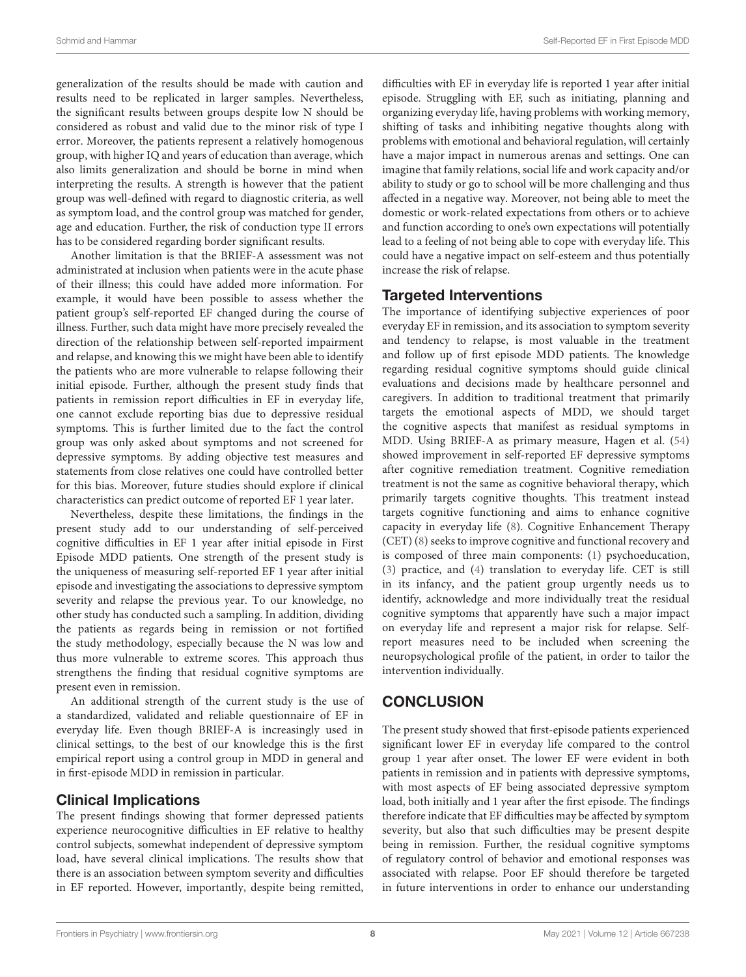generalization of the results should be made with caution and results need to be replicated in larger samples. Nevertheless, the significant results between groups despite low N should be considered as robust and valid due to the minor risk of type I error. Moreover, the patients represent a relatively homogenous group, with higher IQ and years of education than average, which also limits generalization and should be borne in mind when interpreting the results. A strength is however that the patient group was well-defined with regard to diagnostic criteria, as well as symptom load, and the control group was matched for gender, age and education. Further, the risk of conduction type II errors has to be considered regarding border significant results.

Another limitation is that the BRIEF-A assessment was not administrated at inclusion when patients were in the acute phase of their illness; this could have added more information. For example, it would have been possible to assess whether the patient group's self-reported EF changed during the course of illness. Further, such data might have more precisely revealed the direction of the relationship between self-reported impairment and relapse, and knowing this we might have been able to identify the patients who are more vulnerable to relapse following their initial episode. Further, although the present study finds that patients in remission report difficulties in EF in everyday life, one cannot exclude reporting bias due to depressive residual symptoms. This is further limited due to the fact the control group was only asked about symptoms and not screened for depressive symptoms. By adding objective test measures and statements from close relatives one could have controlled better for this bias. Moreover, future studies should explore if clinical characteristics can predict outcome of reported EF 1 year later.

Nevertheless, despite these limitations, the findings in the present study add to our understanding of self-perceived cognitive difficulties in EF 1 year after initial episode in First Episode MDD patients. One strength of the present study is the uniqueness of measuring self-reported EF 1 year after initial episode and investigating the associations to depressive symptom severity and relapse the previous year. To our knowledge, no other study has conducted such a sampling. In addition, dividing the patients as regards being in remission or not fortified the study methodology, especially because the N was low and thus more vulnerable to extreme scores. This approach thus strengthens the finding that residual cognitive symptoms are present even in remission.

An additional strength of the current study is the use of a standardized, validated and reliable questionnaire of EF in everyday life. Even though BRIEF-A is increasingly used in clinical settings, to the best of our knowledge this is the first empirical report using a control group in MDD in general and in first-episode MDD in remission in particular.

#### Clinical Implications

The present findings showing that former depressed patients experience neurocognitive difficulties in EF relative to healthy control subjects, somewhat independent of depressive symptom load, have several clinical implications. The results show that there is an association between symptom severity and difficulties in EF reported. However, importantly, despite being remitted, difficulties with EF in everyday life is reported 1 year after initial episode. Struggling with EF, such as initiating, planning and organizing everyday life, having problems with working memory, shifting of tasks and inhibiting negative thoughts along with problems with emotional and behavioral regulation, will certainly have a major impact in numerous arenas and settings. One can imagine that family relations, social life and work capacity and/or ability to study or go to school will be more challenging and thus affected in a negative way. Moreover, not being able to meet the domestic or work-related expectations from others or to achieve and function according to one's own expectations will potentially lead to a feeling of not being able to cope with everyday life. This could have a negative impact on self-esteem and thus potentially increase the risk of relapse.

## Targeted Interventions

The importance of identifying subjective experiences of poor everyday EF in remission, and its association to symptom severity and tendency to relapse, is most valuable in the treatment and follow up of first episode MDD patients. The knowledge regarding residual cognitive symptoms should guide clinical evaluations and decisions made by healthcare personnel and caregivers. In addition to traditional treatment that primarily targets the emotional aspects of MDD, we should target the cognitive aspects that manifest as residual symptoms in MDD. Using BRIEF-A as primary measure, Hagen et al. [\(54\)](#page-9-26) showed improvement in self-reported EF depressive symptoms after cognitive remediation treatment. Cognitive remediation treatment is not the same as cognitive behavioral therapy, which primarily targets cognitive thoughts. This treatment instead targets cognitive functioning and aims to enhance cognitive capacity in everyday life [\(8\)](#page-8-7). Cognitive Enhancement Therapy (CET) [\(8\)](#page-8-7) seeks to improve cognitive and functional recovery and is composed of three main components: [\(1\)](#page-8-0) psychoeducation, [\(3\)](#page-8-2) practice, and [\(4\)](#page-8-3) translation to everyday life. CET is still in its infancy, and the patient group urgently needs us to identify, acknowledge and more individually treat the residual cognitive symptoms that apparently have such a major impact on everyday life and represent a major risk for relapse. Selfreport measures need to be included when screening the neuropsychological profile of the patient, in order to tailor the intervention individually.

# **CONCLUSION**

The present study showed that first-episode patients experienced significant lower EF in everyday life compared to the control group 1 year after onset. The lower EF were evident in both patients in remission and in patients with depressive symptoms, with most aspects of EF being associated depressive symptom load, both initially and 1 year after the first episode. The findings therefore indicate that EF difficulties may be affected by symptom severity, but also that such difficulties may be present despite being in remission. Further, the residual cognitive symptoms of regulatory control of behavior and emotional responses was associated with relapse. Poor EF should therefore be targeted in future interventions in order to enhance our understanding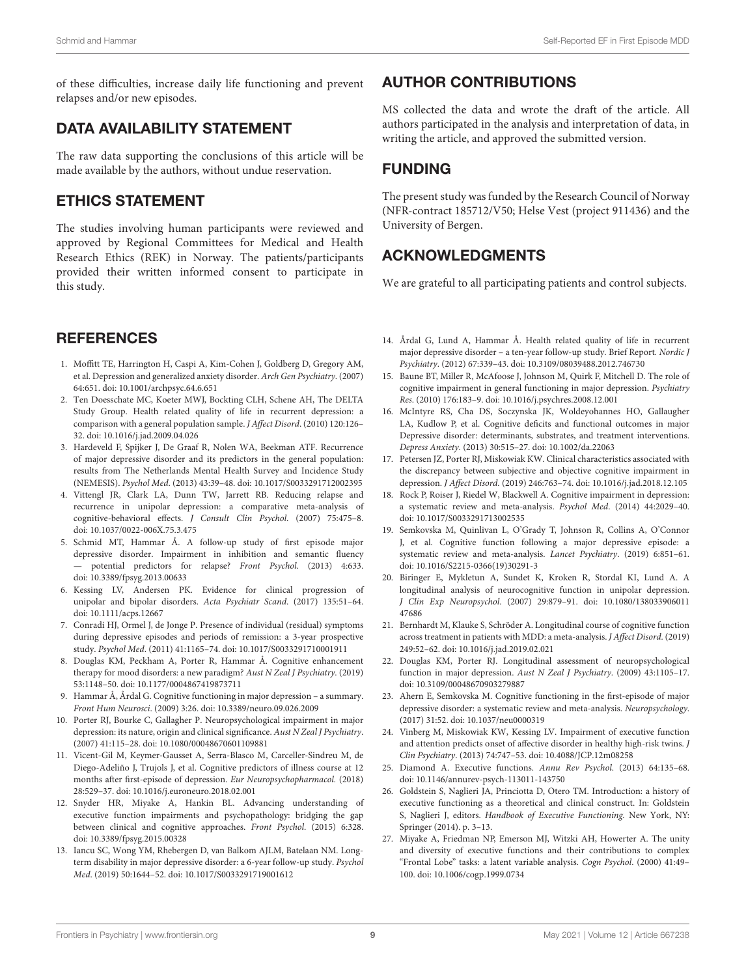of these difficulties, increase daily life functioning and prevent relapses and/or new episodes.

# DATA AVAILABILITY STATEMENT

The raw data supporting the conclusions of this article will be made available by the authors, without undue reservation.

#### ETHICS STATEMENT

The studies involving human participants were reviewed and approved by Regional Committees for Medical and Health Research Ethics (REK) in Norway. The patients/participants provided their written informed consent to participate in this study.

# **REFERENCES**

- <span id="page-8-0"></span>1. Moffitt TE, Harrington H, Caspi A, Kim-Cohen J, Goldberg D, Gregory AM, et al. Depression and generalized anxiety disorder. Arch Gen Psychiatry. (2007) 64:651. doi: [10.1001/archpsyc.64.6.651](https://doi.org/10.1001/archpsyc.64.6.651)
- <span id="page-8-1"></span>2. Ten Doesschate MC, Koeter MWJ, Bockting CLH, Schene AH, The DELTA Study Group. Health related quality of life in recurrent depression: a comparison with a general population sample. J Affect Disord. (2010) 120:126– 32. doi: [10.1016/j.jad.2009.04.026](https://doi.org/10.1016/j.jad.2009.04.026)
- <span id="page-8-2"></span>3. Hardeveld F, Spijker J, De Graaf R, Nolen WA, Beekman ATF. Recurrence of major depressive disorder and its predictors in the general population: results from The Netherlands Mental Health Survey and Incidence Study (NEMESIS). Psychol Med. (2013) 43:39–48. doi: [10.1017/S0033291712002395](https://doi.org/10.1017/S0033291712002395)
- <span id="page-8-3"></span>4. Vittengl JR, Clark LA, Dunn TW, Jarrett RB. Reducing relapse and recurrence in unipolar depression: a comparative meta-analysis of cognitive-behavioral effects. J Consult Clin Psychol. (2007) 75:475–8. doi: [10.1037/0022-006X.75.3.475](https://doi.org/10.1037/0022-006X.75.3.475)
- <span id="page-8-4"></span>5. Schmid MT, Hammar Å. A follow-up study of first episode major depressive disorder. Impairment in inhibition and semantic fluency — potential predictors for relapse? Front Psychol. (2013) 4:633. doi: [10.3389/fpsyg.2013.00633](https://doi.org/10.3389/fpsyg.2013.00633)
- <span id="page-8-5"></span>6. Kessing LV, Andersen PK. Evidence for clinical progression of unipolar and bipolar disorders. Acta Psychiatr Scand. (2017) 135:51–64. doi: [10.1111/acps.12667](https://doi.org/10.1111/acps.12667)
- <span id="page-8-6"></span>7. Conradi HJ, Ormel J, de Jonge P. Presence of individual (residual) symptoms during depressive episodes and periods of remission: a 3-year prospective study. Psychol Med. (2011) 41:1165–74. doi: [10.1017/S0033291710001911](https://doi.org/10.1017/S0033291710001911)
- <span id="page-8-7"></span>8. Douglas KM, Peckham A, Porter R, Hammar Å. Cognitive enhancement therapy for mood disorders: a new paradigm? Aust N Zeal J Psychiatry. (2019) 53:1148–50. doi: [10.1177/0004867419873711](https://doi.org/10.1177/0004867419873711)
- <span id="page-8-8"></span>Hammar Å, Årdal G. Cognitive functioning in major depression – a summary. Front Hum Neurosci. (2009) 3:26. doi: [10.3389/neuro.09.026.2009](https://doi.org/10.3389/neuro.09.026.2009)
- <span id="page-8-15"></span>10. Porter RJ, Bourke C, Gallagher P. Neuropsychological impairment in major depression: its nature, origin and clinical significance. Aust N Zeal J Psychiatry. (2007) 41:115–28. doi: [10.1080/00048670601109881](https://doi.org/10.1080/00048670601109881)
- <span id="page-8-9"></span>11. Vicent-Gil M, Keymer-Gausset A, Serra-Blasco M, Carceller-Sindreu M, de Diego-Adeliño J, Trujols J, et al. Cognitive predictors of illness course at 12 months after first-episode of depression. Eur Neuropsychopharmacol. (2018) 28:529–37. doi: [10.1016/j.euroneuro.2018.02.001](https://doi.org/10.1016/j.euroneuro.2018.02.001)
- <span id="page-8-10"></span>12. Snyder HR, Miyake A, Hankin BL. Advancing understanding of executive function impairments and psychopathology: bridging the gap between clinical and cognitive approaches. Front Psychol. (2015) 6:328. doi: [10.3389/fpsyg.2015.00328](https://doi.org/10.3389/fpsyg.2015.00328)
- <span id="page-8-11"></span>13. Iancu SC, Wong YM, Rhebergen D, van Balkom AJLM, Batelaan NM. Longterm disability in major depressive disorder: a 6-year follow-up study. Psychol Med. (2019) 50:1644–52. doi: [10.1017/S0033291719001612](https://doi.org/10.1017/S0033291719001612)

# AUTHOR CONTRIBUTIONS

MS collected the data and wrote the draft of the article. All authors participated in the analysis and interpretation of data, in writing the article, and approved the submitted version.

# FUNDING

The present study was funded by the Research Council of Norway (NFR-contract 185712/V50; Helse Vest (project 911436) and the University of Bergen.

# ACKNOWLEDGMENTS

We are grateful to all participating patients and control subjects.

- <span id="page-8-12"></span>14. Årdal G, Lund A, Hammar Å. Health related quality of life in recurrent major depressive disorder – a ten-year follow-up study. Brief Report. Nordic J Psychiatry. (2012) 67:339–43. doi: [10.3109/08039488.2012.746730](https://doi.org/10.3109/08039488.2012.746730)
- <span id="page-8-13"></span>15. Baune BT, Miller R, McAfoose J, Johnson M, Quirk F, Mitchell D. The role of cognitive impairment in general functioning in major depression. Psychiatry Res. (2010) 176:183–9. doi: [10.1016/j.psychres.2008.12.001](https://doi.org/10.1016/j.psychres.2008.12.001)
- <span id="page-8-14"></span>16. McIntyre RS, Cha DS, Soczynska JK, Woldeyohannes HO, Gallaugher LA, Kudlow P, et al. Cognitive deficits and functional outcomes in major Depressive disorder: determinants, substrates, and treatment interventions. Depress Anxiety. (2013) 30:515–27. doi: [10.1002/da.22063](https://doi.org/10.1002/da.22063)
- <span id="page-8-16"></span>17. Petersen JZ, Porter RJ, Miskowiak KW. Clinical characteristics associated with the discrepancy between subjective and objective cognitive impairment in depression. J Affect Disord. (2019) 246:763–74. doi: [10.1016/j.jad.2018.12.105](https://doi.org/10.1016/j.jad.2018.12.105)
- <span id="page-8-18"></span>18. Rock P, Roiser J, Riedel W, Blackwell A. Cognitive impairment in depression: a systematic review and meta-analysis. Psychol Med. (2014) 44:2029–40. doi: [10.1017/S0033291713002535](https://doi.org/10.1017/S0033291713002535)
- <span id="page-8-17"></span>19. Semkovska M, Quinlivan L, O'Grady T, Johnson R, Collins A, O'Connor J, et al. Cognitive function following a major depressive episode: a systematic review and meta-analysis. Lancet Psychiatry. (2019) 6:851–61. doi: [10.1016/S2215-0366\(19\)30291-3](https://doi.org/10.1016/S2215-0366(19)30291-3)
- <span id="page-8-19"></span>20. Biringer E, Mykletun A, Sundet K, Kroken R, Stordal KI, Lund A. A longitudinal analysis of neurocognitive function in unipolar depression. J Clin Exp Neuropsychol[. \(2007\) 29:879–91. doi: 10.1080/138033906011](https://doi.org/10.1080/13803390601147686) 47686
- <span id="page-8-20"></span>21. Bernhardt M, Klauke S, Schröder A. Longitudinal course of cognitive function across treatment in patients with MDD: a meta-analysis. J Affect Disord. (2019) 249:52–62. doi: [10.1016/j.jad.2019.02.021](https://doi.org/10.1016/j.jad.2019.02.021)
- <span id="page-8-21"></span>22. Douglas KM, Porter RJ. Longitudinal assessment of neuropsychological function in major depression. Aust N Zeal J Psychiatry. (2009) 43:1105–17. doi: [10.3109/00048670903279887](https://doi.org/10.3109/00048670903279887)
- <span id="page-8-22"></span>23. Ahern E, Semkovska M. Cognitive functioning in the first-episode of major depressive disorder: a systematic review and meta-analysis. Neuropsychology. (2017) 31:52. doi: [10.1037/neu0000319](https://doi.org/10.1037/neu0000319)
- <span id="page-8-23"></span>24. Vinberg M, Miskowiak KW, Kessing LV. Impairment of executive function and attention predicts onset of affective disorder in healthy high-risk twins. J Clin Psychiatry. (2013) 74:747–53. doi: [10.4088/JCP.12m08258](https://doi.org/10.4088/JCP.12m08258)
- <span id="page-8-24"></span>25. Diamond A. Executive functions. Annu Rev Psychol. (2013) 64:135–68. doi: [10.1146/annurev-psych-113011-143750](https://doi.org/10.1146/annurev-psych-113011-143750)
- <span id="page-8-25"></span>26. Goldstein S, Naglieri JA, Princiotta D, Otero TM. Introduction: a history of executive functioning as a theoretical and clinical construct. In: Goldstein S, Naglieri J, editors. Handbook of Executive Functioning. New York, NY: Springer (2014). p. 3–13.
- <span id="page-8-26"></span>27. Miyake A, Friedman NP, Emerson MJ, Witzki AH, Howerter A. The unity and diversity of executive functions and their contributions to complex "Frontal Lobe" tasks: a latent variable analysis. Cogn Psychol. (2000) 41:49– 100. doi: [10.1006/cogp.1999.0734](https://doi.org/10.1006/cogp.1999.0734)